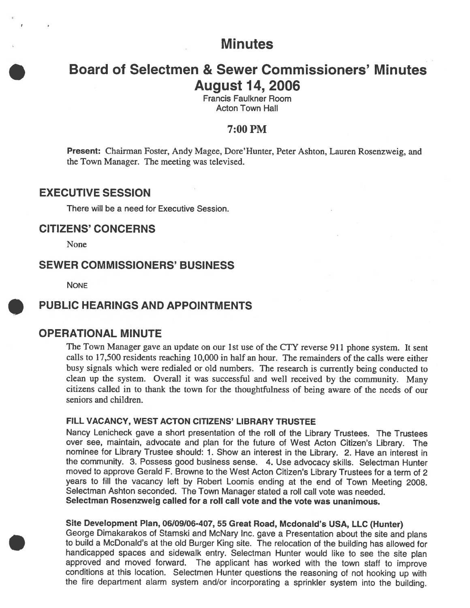# **Minutes**

# Board of Selectmen & Sewer Commissioners' Minutes August 14, 2006

Francis Faulkner Room Acton Town Hall

### 7:00PM

Present: Chairman Foster, Andy Magee, Dore'Hunter, Peter Ashton, Lauren Rosenzweig, and the Town Manager. The meeting was televised.

## EXECUTIVE SESSION

There will be <sup>a</sup> need for Executive Session.

### **CITIZENS' CONCERNS**

None

# SEWER COMMISSIONERS' BUSINESS

**NONE** 

## PUBLIC HEARINGS AND APPOINTMENTS

### OPERATIONAL MINUTE

The Town Manager gave an update on our 1st use of the CTY reverse <sup>911</sup> <sup>p</sup>hone system. it sent calls to 17,500 residents reaching 10,000 in half an hour. The remainders of the calls were either busy signals which were redialed or old numbers. The research is currently being conducted to clean up the system. Overall it was successful and well received by the community. Many citizens called in to thank the town for the thoughtfulness of being aware of the needs of our seniors and children.

### FILL VACANCY, WEST ACTON CITIZENS' LIBRARY TRUSTEE

Nancy Lenicheck gave <sup>a</sup> short presentation of the roll of the Library Trustees. The Trustees over see, maintain, advocate and <sup>p</sup>lan for the future of West Acton Citizen's Library. The nominee for Library Trustee should: 1. Show an interest in the Library. 2. Have an interest in the community. 3. Possess goo<sup>d</sup> business sense. 4. Use advocacy skills. Selectman Hunter moved to approve Gerald F. Browne to the West Acton Citizen's Library Trustees for <sup>a</sup> term of <sup>2</sup> years to fill the vacancy left by Robert Loomis ending at the end of Town Meeting 2008. Selectman Ashton seconded. The Town Manager stated <sup>a</sup> roll call vote was needed. Selectman Rosenzweig called for <sup>a</sup> roll call vote and the vote was unanimous.

#### Site Development Plan, 06/09/06-407, 55 Great Road, Mcdonald's USA, LLC (Hunter)

George Dimakarakos of Stamski and McNary Inc. gave <sup>a</sup> Presentation about the site and <sup>p</sup>lans to build <sup>a</sup> McDonald's at the old Burger King site. The relocation of the building has allowed for handicapped spaces and sidewalk entry. Selectman Hunter would like to see the site <sup>p</sup>lan approve<sup>d</sup> and moved forward. The applicant has worked with the town staff to improve conditions at this location. Selectmen Hunter questions the reasoning of not hooking up with the fire department alarm system and/or incorporating <sup>a</sup> sprinkler system into the building.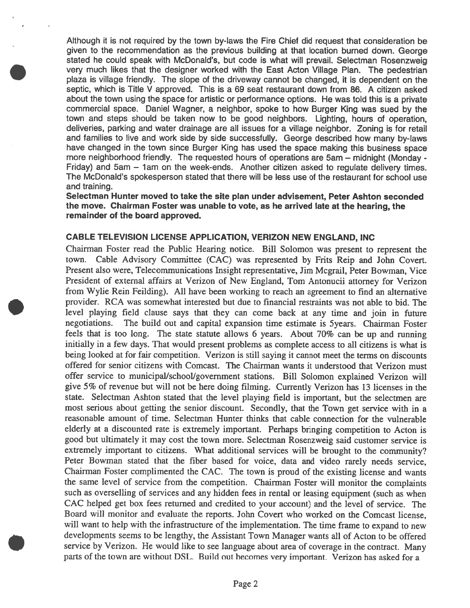Although it is not required by the town by-laws the Fire Chief did reques<sup>t</sup> that consideration be <sup>g</sup>iven to the recommendation as the previous building at that location burned down. George stated he could spea<sup>k</sup> with McDonald's, but code is what will prevail. Selectman Rosenzweig very much likes that the designer worked with the East Acton Village Plan. The pedestrian plaza is village friendly. The slope of the driveway cannot be changed, it is dependent on the septic, which is Title V approved. This is <sup>a</sup> 69 seat restaurant down from 86. A citizen asked about the town using the space for artistic or performance options. He was told this is <sup>a</sup> private commercial space. Daniel Wagner, <sup>a</sup> neighbor, spoke to how Burger King was sued by the town and steps should be taken now to be good neighbors. Lighting, hours of operation, deliveries, parking and water drainage are all issues for <sup>a</sup> village neighbor. Zoning is for retail and families to live and work side by side successfully. George described how many by-laws have changed in the town since Burger King has used the space making this business space more neighborhood friendly. The requested hours of operations are 5am — midnight (Monday - Friday) and 5am – 1am on the week-ends. Another citizen asked to regulate delivery times. The McDonald's spokesperson stated that there will be less use of the restaurant for school use and training.

Selectman Hunter moved to take the site plan under advisement, Peter Ashton seconded the move. Chairman Foster was unable to vote, as he arrived late at the hearing, the remainder of the board approved.

#### CABLE TELEVISION LICENSE APPLICATION, VERIZON NEW ENGLAND, INC

Chairman Foster read the Public Hearing notice. Bill Solomon was presen<sup>t</sup> to represen<sup>t</sup> the town. Cable Advisory Committee (CAC) was represented by frits Reip and John Covert. Present also were, Telecommunications Insight representative, Jim Mcgrail, Peter Bowman, Vice President of external affairs at Verizon of New England, Tom Antonucii attorney for Venzon from Wylie Rein Feilding). All have been working to reach an agreement to find an alternative provider. RCA was somewhat interested but due to financial restraints was not able to bid. The level <sup>p</sup>laying field clause says that they can come back at any time and join in future negotiations. The build out and capital expansion time estimate is 5years. Chairman Foster feels that is too long. The state statute allows <sup>6</sup> years. About 70% can be up and running initially in <sup>a</sup> few days. That would presen<sup>t</sup> problems as complete access to all citizens is what is being looked at for fair competition. Verizon is still saying it cannot meet the terms on discounts offered for senior citizens with Comcast. The Chairman wants it understood that Verizon must offer service to municipal/school/government stations. Bill Solomon explained Verizon will <sup>g</sup>ive 5% of revenue but will not be here doing filming. Currently Verizon has <sup>13</sup> licenses in the state. Selectman Ashton stated that the level <sup>p</sup>laying field is important, but the selectmen are most serious about getting the senior discount. Secondly, that the Town ge<sup>t</sup> service with in <sup>a</sup> reasonable amount of time. Selectman Hunter thinks that cable connection for the vulnerable elderly at <sup>a</sup> discounted rate is extremely important. Perhaps bringing competition to Acton is good but ultimately it may cost the town more. Selectman Rosenzweig said customer service is extremely important to citizens. What additional services will be brought to the community? Peter Bowman stated that the fiber based for voice, data and video rarely needs service, Chairman Foster complimented the CAC. The town is prou<sup>d</sup> of the existing license and wants the same level of service from the competition. Chairman Foster will monitor the complaints such as overselling of services and any hidden fees in rental or leasing equipment (such as when CAC helped ge<sup>t</sup> box fees returned and credited to your account) and the level of service. The Board will monitor and evaluate the reports. John Covert who worked on the Comcast license, will want to help with the infrastructure of the implementation. The time frame to expan<sup>d</sup> to new developments seems to be lengthy, the Assistant Town Manager wants all of Acton to be offered service by Verizon. He would like to see language about area of coverage in the contract. Many parts of the town are without DSL. Build out becomes very important. Verizon has asked for <sup>a</sup>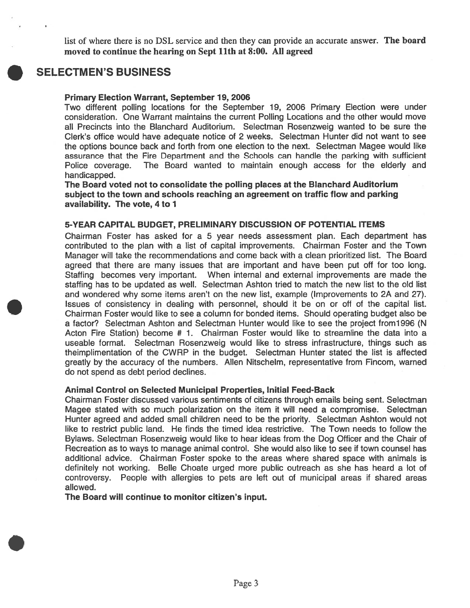list of where there is no DSL service and then they can provide an accurate answer. The board moved to continue the hearing on Sept 11th at 8:00. All agreed



## SELECTMEN'S BUSINESS

#### Primary Election Warrant, September 19, 2006

Two different polling locations for the September 19, 2006 Primary Election were under consideration. One Warrant maintains the current Polling Locations and the other would move all Precincts into the Blanchard Auditorium. Selectman Rosenzweig wanted to be sure the Clerk's office would have adequate notice of 2 weeks. Selectman Hunter did not want to see the options bounce back and forth from one election to the next. Selectman Magee would like assurance that the Fire Department and the Schools can handle the parking with sufficient Police coverage. The Board wanted to maintain enough access for the elderly and handicapped.

The Board voted not to consolidate the polling places at the Blanchard Auditorium subject to the town and schools reaching an agreemen<sup>t</sup> on traffic flow and parking availability. The vote, 4 to 1

#### 5-YEAR CAPITAL BUDGET, PRELIMINARY DISCUSSION OF POTENTIAL ITEMS

Chairman Foster has asked for <sup>a</sup> 5 year needs assessment plan. Each department has contributed to the plan with <sup>a</sup> list of capital improvements. Chairman Foster and the Town Manager will take the recommendations and come back with <sup>a</sup> clean prioritized list. The Board agreed that there are many issues that are important and have been pu<sup>t</sup> off for too long. Staffing becomes very important. When internal and external improvements are made the staffing has to be updated as well. Selectman Ashton tried to match the new list to the old list and wondered why some items aren't on the new list, example (Improvements to 2A and 27). Issues of consistency in dealing with personnel, should it be on or off of the capital list. Chairman Foster would like to see <sup>a</sup> column for bonded items. Should operating budget also be <sup>a</sup> factor? Selectman Ashton and Selectman Hunter would like to see the project from 1996 (N Acton Fire Station) become # 1. Chairman Foster would like to streamline the data into a useable format. Selectman Rosenzweig would like to stress infrastructure, things such as theimplimentation of the CWRP in the budget. Selectman Hunter stated the list is affected greatly by the accuracy of the numbers. Allen Nitschelm, representative from Fincom, warned do not spend as debt period declines.

#### Animal Control on Selected Municipal Properties, Initial Feed-Back

Chairman Foster discussed various sentiments of citizens through emails being sent. Selectman Magee stated with so much polarization on the item it will need <sup>a</sup> compromise. Selectman Hunter agreed and added small children need to be the priority. Selectman Ashton would not like to restrict public land. He finds the timed idea restrictive. The Town needs to follow the Bylaws. Selectman Rosenzweig would like to hear ideas from the Dog Officer and the Chair of Recreation as to ways to manage animal control. She would also like to see if town counsel has additional advice. Chairman Foster spoke to the areas where shared space with animals is definitely not working. Belle Choate urged more public outreach as she has heard <sup>a</sup> lot of controversy. People with allergies to pets are left out of municipal areas if shared areas allowed.

The Board will continue to monitor citizen's input.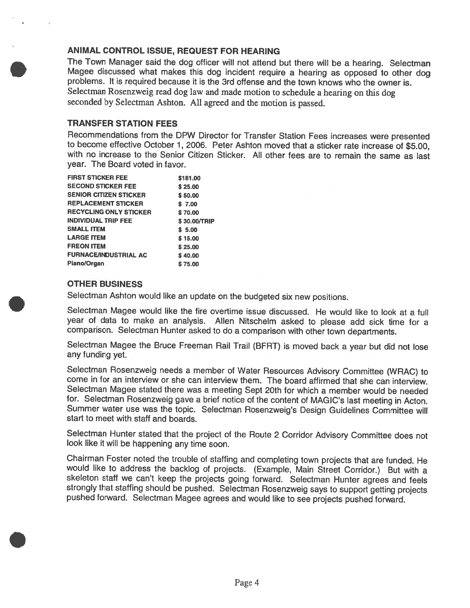### ANIMAL CONTROL ISSUE, REQUEST FOR HEARING

The Town Manager said the dog officer will not attend but there will be a hearing. Selectman<br>Magee discussed what makes this dog incident require a hearing as opposed to other dog problems. It is required because it is the 3rd offense and the town knows who the owner is. Selectman Rosenzweig read dog law and made motion to schedule <sup>a</sup> hearing on this dog seconded by Selectman Ashton. All agreed and the motion is passed.

#### TRANSFER STATION FEES

Recommendations from the DPW Director for Transfer Station Fees increases were presented to become effective October 1, 2006. Peter Ashton moved that <sup>a</sup> sticker rate increase of \$5.00, with no increase to the Senior Citizen Sticker. All other fees are to remain the same as last year. The Board voted in favor.

| <b>FIRST STICKER FEE</b>      | \$181.00     |
|-------------------------------|--------------|
| <b>SECOND STICKER FEE</b>     | \$25.00      |
| <b>SENIOR CITIZEN STICKER</b> | \$50.00      |
| <b>REPLACEMENT STICKER</b>    | \$7.00       |
| <b>RECYCLING ONLY STICKER</b> | \$70.00      |
| <b>INDIVIDUAL TRIP FEE</b>    | \$30.00/TRIP |
| <b>SMALL ITEM</b>             | \$5.00       |
| <b>LARGE ITEM</b>             | \$15.00      |
| <b>FREON ITEM</b>             | \$25.00      |
| <b>FURNACE/INDUSTRIAL AC</b>  | \$40.00      |
| Piano/Organ                   | \$75.00      |

#### OTHER BUSINESS

Selectman Ashton would like an update on the budgeted six new positions.

Selectman Magee would like the fire overtime issue discussed. He would like to look at <sup>a</sup> full year of data to make an analysis. Allen Nitschelm asked to <sup>p</sup>lease add sick time for <sup>a</sup> comparison. Selectman Hunter asked to do <sup>a</sup> comparison with other town departments.

Selectman Magee the Bruce Freeman Rail Trail (BERT) is moved back <sup>a</sup> year but did not lose any funding yet.

Selectman Rosenzweig needs <sup>a</sup> member of Water Resources Advisory Committee (WRAC) to come in for an interview or she can interview them. The board affirmed that she can interview. Selectman Magee stated there was a meeting Sept 20th for which a member would be needed for. Selectman Rosenzweig gave a brief notice of the content of MAGIC's last meeting in Acton. Summer water use was the topic. Selectman Rosenzweig's Design Guidelines Committee will start to meet with staff and boards.

Selectman Hunter stated that the project of the Route <sup>2</sup> Corridor Advisory Committee does not look like it will be happening any time soon.

Chairman Foster noted the trouble of staffing and completing town projects that are funded. He would like to address the backlog of projects. (Example, Main Street Corridor.) But with <sup>a</sup> strongly that staffing should be pushed. Selectman Rosenzweig says to support getting projects pushed forward. Selectman Magee agrees and would like to see projects pushed forward.

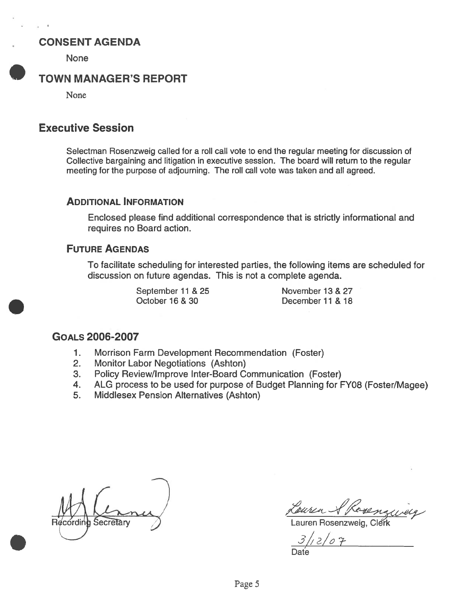# **CONSENT AGENDA**

None

# TOWN MANAGER'S REPORT

None

# Executive Session

Selectman Rosenzweig called for <sup>a</sup> roll call vote to end the regular meeting for discussion of Collective bargaining and litigation in executive session. The board will return to the regular meeting for the purpose of adjourning. The roll call vote was taken and all agreed.

### ADDITIONAL INFORMATION

Enclosed please find additional correspondence that is strictly informational and requires no Board action.

### FUTURE AGENDAS

To facilitate scheduling for interested parties, the following items are scheduled for discussion on future agendas. This is not <sup>a</sup> complete agenda.

> September 11 & 25 November 13 & 27 October 16 & 30 December 11 & 18

## GOALS 2006-2007

- 1. Morrison Farm Development Recommendation (Foster)
- 2. Monitor Labor Negotiations (Ashton)
- 3. Policy Review/Improve Inter-Board Communication (Foster)
- 4. ALG process to be used for purpose of Budget Planning for FY08 (Foster/Magee)
- 5. Middlesex Pension Alternatives (Ashton)

Reussel Rosenzweig<br>Recording Secretary Lauren Rosenzweig, Clerk

 $3/12/07$ 

Date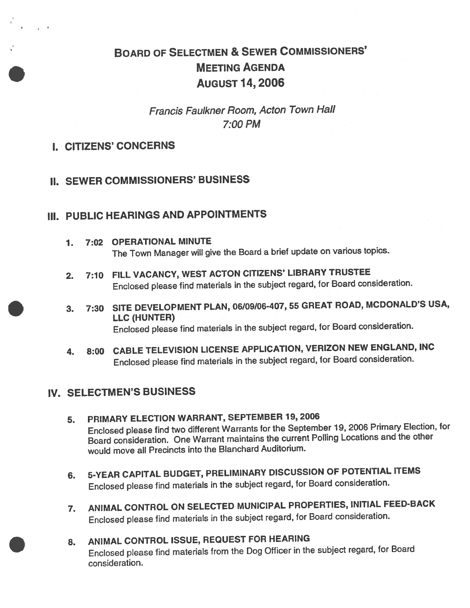# BOARD OF SELECTMEN & SEWER CoMMIssIoNERs' MEETING AGENDA AUGUST 14, 2006

Francis Faulkner Room, Acton Town Hall 7:00 PM

- I. CITIZENS' CONCERNS
- II. SEWER COMMISSIONERS' BUSINESS

# III. PUBLIC HEARINGS AND APPOINTMENTS

- 7. 7:02 OPERATIONAL MINUTE The Town Manager will <sup>g</sup>ive the Board <sup>a</sup> brief update on various topics.
- 2. 7:10 FILL VACANCY, WEST ACTON CITIZENS' LIBRARY TRUSTEE Enclosed <sup>p</sup>lease find materials in the subject regard, for Board consideration.
- 3. 7:30 SITE DEVELOPMENT PLAN, 06/09/06-407,55 GREAT ROAD, MCDONALD'S USA, LLC (HUNTER) Enclosed <sup>p</sup>lease find materials in the subject regard, for Board consideration.
- 4. 8:00 CABLE TELEVISION LICENSE APPLICATION, VER1ZON NEW ENGLAND, INC Enclosed <sup>p</sup>lease find materials in the subject regard, for Board consideration.

# IV. SELECTMEN'S BUSINESS

- 5. PRIMARY ELECTION WARRANT, SEPTEMBER 79, <sup>2006</sup> Enclosed <sup>p</sup>lease find two different Warrants for the September 19, <sup>2006</sup> Primary Election, for Board consideration. One Warrant maintains the current Polling Locations and the other would move all Precincts into the Blanchard Auditorium.
- 6. 5-YEAR CAPITAL BUDGET, PRELIMINARY DISCUSSION OF POTENTIAL ITEMS Enclosed <sup>p</sup>lease find materials in the subject regard, for Board consideration.
- 7. ANIMAL CONTROL ON SELECTED MUNICIPAL PROPERTIES, INITIAL FEED-BACK Enclosed <sup>p</sup>lease find materials in the subject regard, for Board consideration.
- 8. ANIMAL CONTROL ISSUE, REQUEST FOR HEARING Enclosed <sup>p</sup>lease find materials from the Dog Officer in the subject regard, for Board consideration.